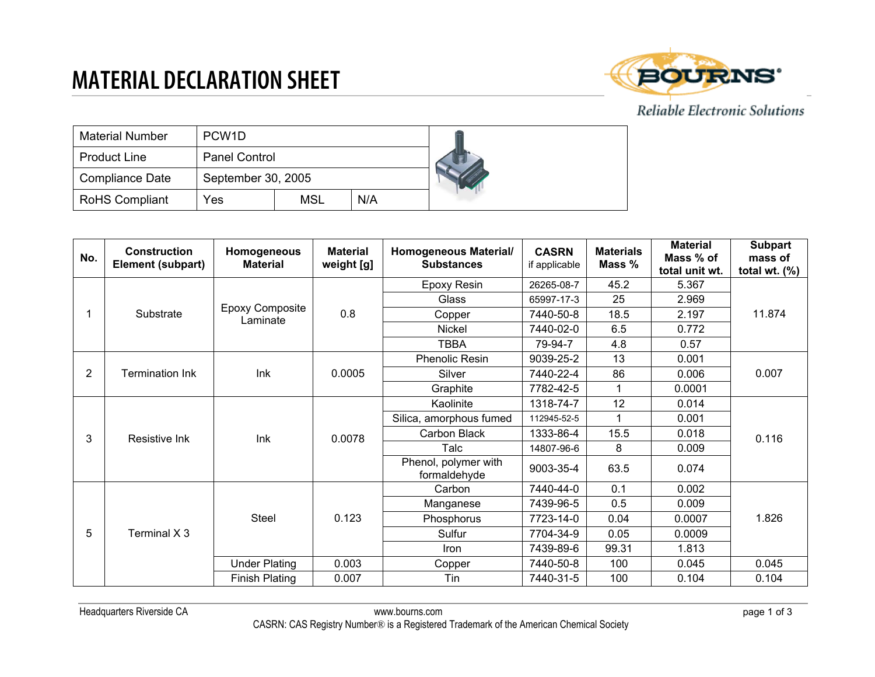### **MATERIAL DECLARATION SHEET**



#### Reliable Electronic Solutions

| <b>Material Number</b> | PCW <sub>1</sub> D   |            |     |  |
|------------------------|----------------------|------------|-----|--|
| <b>Product Line</b>    | <b>Panel Control</b> |            |     |  |
| Compliance Date        | September 30, 2005   |            |     |  |
| <b>RoHS Compliant</b>  | Yes                  | <b>MSL</b> | N/A |  |

| No. | Construction<br>Element (subpart) | Homogeneous<br><b>Material</b>     | <b>Material</b><br>weight [g] | Homogeneous Material/<br><b>Substances</b> | <b>CASRN</b><br>if applicable | <b>Materials</b><br>Mass % | <b>Material</b><br>Mass % of<br>total unit wt. | <b>Subpart</b><br>mass of<br>total wt. $(\%)$ |
|-----|-----------------------------------|------------------------------------|-------------------------------|--------------------------------------------|-------------------------------|----------------------------|------------------------------------------------|-----------------------------------------------|
|     |                                   | <b>Epoxy Composite</b><br>Laminate | 0.8                           | Epoxy Resin                                | 26265-08-7                    | 45.2                       | 5.367                                          | 11.874                                        |
|     |                                   |                                    |                               | Glass                                      | 65997-17-3                    | 25                         | 2.969                                          |                                               |
|     | Substrate                         |                                    |                               | Copper                                     | 7440-50-8                     | 18.5                       | 2.197                                          |                                               |
|     |                                   |                                    |                               | Nickel                                     | 7440-02-0                     | 6.5                        | 0.772                                          |                                               |
|     |                                   |                                    |                               | <b>TBBA</b>                                | 79-94-7                       | 4.8                        | 0.57                                           |                                               |
|     |                                   | Ink                                | 0.0005                        | <b>Phenolic Resin</b>                      | 9039-25-2                     | 13                         | 0.001                                          | 0.007                                         |
| 2   | <b>Termination Ink</b>            |                                    |                               | Silver                                     | 7440-22-4                     | 86                         | 0.006                                          |                                               |
|     |                                   |                                    |                               | Graphite                                   | 7782-42-5                     | $\mathbf 1$                | 0.0001                                         |                                               |
|     | Resistive Ink                     | Ink                                | 0.0078                        | Kaolinite                                  | 1318-74-7                     | 12                         | 0.014                                          | 0.116                                         |
|     |                                   |                                    |                               | Silica, amorphous fumed                    | 112945-52-5                   | $\mathbf 1$                | 0.001                                          |                                               |
| 3   |                                   |                                    |                               | Carbon Black                               | 1333-86-4                     | 15.5                       | 0.018                                          |                                               |
|     |                                   |                                    |                               | Talc                                       | 14807-96-6                    | 8                          | 0.009                                          |                                               |
|     |                                   |                                    |                               | Phenol, polymer with<br>formaldehyde       | 9003-35-4                     | 63.5                       | 0.074                                          |                                               |
|     | Terminal X 3                      | Steel                              | 0.123                         | Carbon                                     | 7440-44-0                     | 0.1                        | 0.002                                          | 1.826                                         |
| 5   |                                   |                                    |                               | Manganese                                  | 7439-96-5                     | 0.5                        | 0.009                                          |                                               |
|     |                                   |                                    |                               | Phosphorus                                 | 7723-14-0                     | 0.04                       | 0.0007                                         |                                               |
|     |                                   |                                    |                               | Sulfur                                     | 7704-34-9                     | 0.05                       | 0.0009                                         |                                               |
|     |                                   |                                    |                               | <b>Iron</b>                                | 7439-89-6                     | 99.31                      | 1.813                                          |                                               |
|     |                                   | <b>Under Plating</b>               | 0.003                         | Copper                                     | 7440-50-8                     | 100                        | 0.045                                          | 0.045                                         |
|     |                                   | <b>Finish Plating</b>              | 0.007                         | Tin                                        | 7440-31-5                     | 100                        | 0.104                                          | 0.104                                         |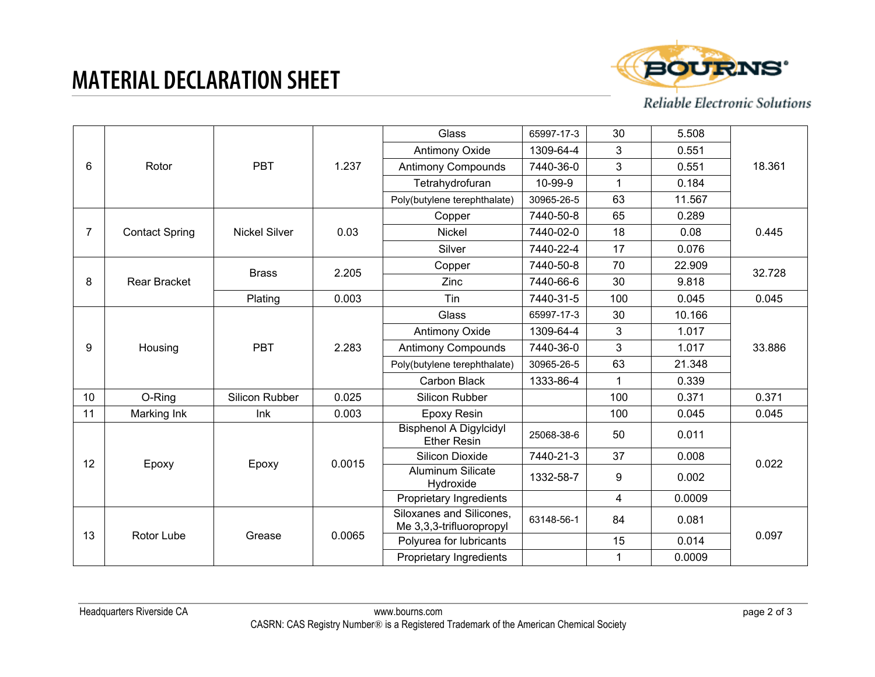# **MATERIAL DECLARATION SHEET**



Reliable Electronic Solutions

|                |                       |                      |        | Glass                                                | 65997-17-3 | 30  | 5.508  |        |
|----------------|-----------------------|----------------------|--------|------------------------------------------------------|------------|-----|--------|--------|
| 6              |                       | <b>PBT</b>           | 1.237  | <b>Antimony Oxide</b>                                | 1309-64-4  | 3   | 0.551  | 18.361 |
|                | Rotor                 |                      |        | <b>Antimony Compounds</b>                            | 7440-36-0  | 3   | 0.551  |        |
|                |                       |                      |        | Tetrahydrofuran                                      | 10-99-9    | 1   | 0.184  |        |
| $\overline{7}$ |                       | <b>Nickel Silver</b> | 0.03   | Poly(butylene terephthalate)                         | 30965-26-5 | 63  | 11.567 | 0.445  |
|                |                       |                      |        | Copper                                               | 7440-50-8  | 65  | 0.289  |        |
|                | <b>Contact Spring</b> |                      |        | <b>Nickel</b>                                        | 7440-02-0  | 18  | 0.08   |        |
|                | <b>Rear Bracket</b>   | <b>Brass</b>         | 2.205  | Silver                                               | 7440-22-4  | 17  | 0.076  | 32.728 |
|                |                       |                      |        | Copper                                               | 7440-50-8  | 70  | 22.909 |        |
| 8              |                       |                      |        | Zinc                                                 | 7440-66-6  | 30  | 9.818  |        |
|                | Housing               | Plating              | 0.003  | Tin                                                  | 7440-31-5  | 100 | 0.045  | 0.045  |
|                |                       |                      |        | Glass                                                | 65997-17-3 | 30  | 10.166 |        |
|                |                       | <b>PBT</b>           | 2.283  | Antimony Oxide                                       | 1309-64-4  | 3   | 1.017  | 33.886 |
| 9              |                       |                      |        | <b>Antimony Compounds</b>                            | 7440-36-0  | 3   | 1.017  |        |
|                |                       |                      |        | Poly(butylene terephthalate)                         | 30965-26-5 | 63  | 21.348 |        |
|                |                       |                      |        | Carbon Black                                         | 1333-86-4  | 1   | 0.339  |        |
| 10             | O-Ring                | Silicon Rubber       | 0.025  | Silicon Rubber                                       |            | 100 | 0.371  | 0.371  |
| 11             | Marking Ink           | Ink                  | 0.003  | Epoxy Resin                                          |            | 100 | 0.045  | 0.045  |
|                |                       |                      |        | <b>Bisphenol A Digylcidyl</b><br><b>Ether Resin</b>  | 25068-38-6 | 50  | 0.011  |        |
| 12             | Epoxy                 | Epoxy                | 0.0015 | <b>Silicon Dioxide</b>                               | 7440-21-3  | 37  | 0.008  | 0.022  |
|                |                       |                      |        | Aluminum Silicate<br>Hydroxide                       | 1332-58-7  | 9   | 0.002  |        |
| 13             | Rotor Lube            | Grease               | 0.0065 | Proprietary Ingredients                              |            | 4   | 0.0009 | 0.097  |
|                |                       |                      |        | Siloxanes and Silicones,<br>Me 3,3,3-trifluoropropyl | 63148-56-1 | 84  | 0.081  |        |
|                |                       |                      |        | Polyurea for lubricants                              |            | 15  | 0.014  |        |
|                |                       |                      |        | Proprietary Ingredients                              |            | 1   | 0.0009 |        |